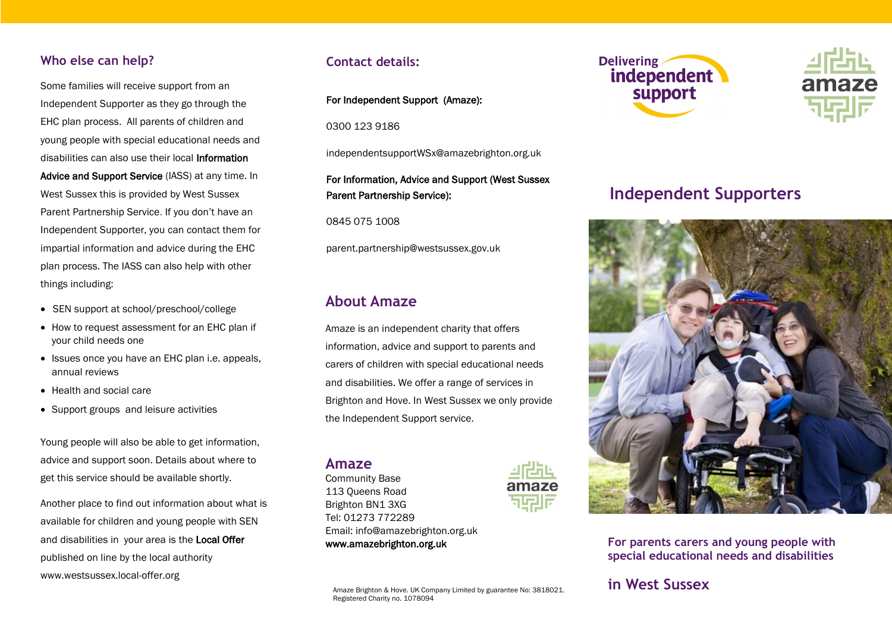## **Who else can help?**

Some families will receive support from an Independent Supporter as they go through the EHC plan process. All parents of children and young people with special educational needs and disabilities can also use their local Information Advice and Support Service (IASS) at any time. In West Sussex this is provided by West Sussex Parent Partnership Service. If you don't have an Independent Supporter, you can contact them for impartial information and advice during the EHC plan process. The IASS can also help with other things including:

- SEN support at school/preschool/college
- How to request assessment for an EHC plan if your child needs one
- Issues once you have an EHC plan i.e. appeals, annual reviews
- Health and social care
- Support groups and leisure activities

Young people will also be able to get information, advice and support soon. Details about where to get this service should be available shortly.

Another place to find out information about what is available for children and young people with SEN and disabilities in your area is the Local Offer published on line by the local authority www.westsussex.local-offer.org

## **Contact details:**

### For Independent Support (Amaze):

0300 123 9186

independentsupportWSx@amazebrighton.org.uk

### For Information, Advice and Support (West Sussex Parent Partnership Service):

0845 075 1008

parent.partnership@westsussex.gov.uk

## **About Amaze**

Amaze is an independent charity that offers information, advice and support to parents and carers of children with special educational needs and disabilities. We offer a range of services in Brighton and Hove. In West Sussex we only provide the Independent Support service.

Amaze Brighton & Hove. UK Company Limited by guarantee No: 3818021.

### **Amaze**

Community Base 113 Queens Road Brighton BN1 3XG Tel: 01273 772289 Email: info@amazebrighton.org.uk www.amazebrighton.org.uk

Registered Charity no. 1078094







# **Independent Supporters**



**For parents carers and young people with special educational needs and disabilities**

# **in West Sussex**